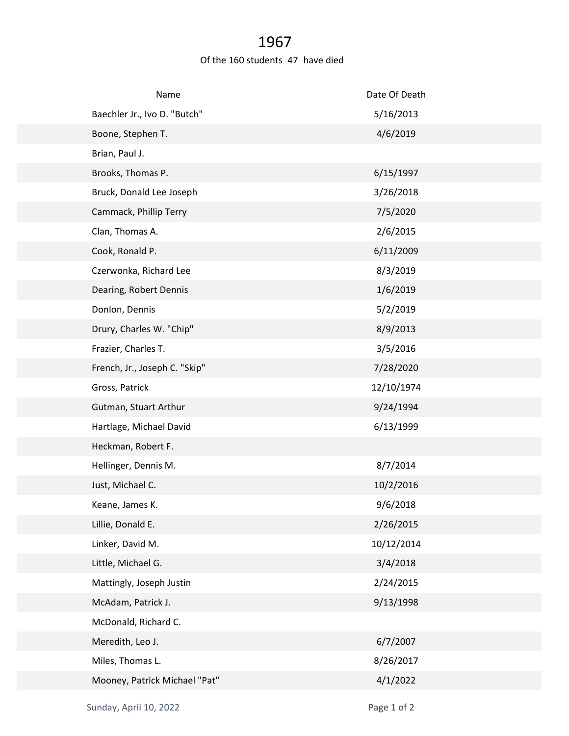## 1967

## Of the 160 students 47 have died

| Name                          | Date Of Death |
|-------------------------------|---------------|
| Baechler Jr., Ivo D. "Butch"  | 5/16/2013     |
| Boone, Stephen T.             | 4/6/2019      |
| Brian, Paul J.                |               |
| Brooks, Thomas P.             | 6/15/1997     |
| Bruck, Donald Lee Joseph      | 3/26/2018     |
| Cammack, Phillip Terry        | 7/5/2020      |
| Clan, Thomas A.               | 2/6/2015      |
| Cook, Ronald P.               | 6/11/2009     |
| Czerwonka, Richard Lee        | 8/3/2019      |
| Dearing, Robert Dennis        | 1/6/2019      |
| Donlon, Dennis                | 5/2/2019      |
| Drury, Charles W. "Chip"      | 8/9/2013      |
| Frazier, Charles T.           | 3/5/2016      |
| French, Jr., Joseph C. "Skip" | 7/28/2020     |
| Gross, Patrick                | 12/10/1974    |
| Gutman, Stuart Arthur         | 9/24/1994     |
| Hartlage, Michael David       | 6/13/1999     |
| Heckman, Robert F.            |               |
| Hellinger, Dennis M.          | 8/7/2014      |
| Just, Michael C.              | 10/2/2016     |
| Keane, James K.               | 9/6/2018      |
| Lillie, Donald E.             | 2/26/2015     |
| Linker, David M.              | 10/12/2014    |
| Little, Michael G.            | 3/4/2018      |
| Mattingly, Joseph Justin      | 2/24/2015     |
| McAdam, Patrick J.            | 9/13/1998     |
| McDonald, Richard C.          |               |
| Meredith, Leo J.              | 6/7/2007      |
| Miles, Thomas L.              | 8/26/2017     |
| Mooney, Patrick Michael "Pat" | 4/1/2022      |
|                               |               |